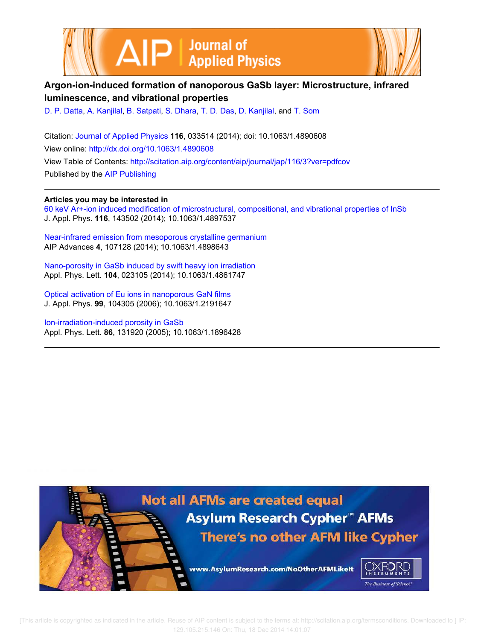



# **Argon-ion-induced formation of nanoporous GaSb layer: Microstructure, infrared luminescence, and vibrational properties**

D. P. Datta, A. Kanjilal, B. Satpati, S. Dhara, T. D. Das, D. Kanjilal, and T. Som

Citation: Journal of Applied Physics **116**, 033514 (2014); doi: 10.1063/1.4890608 View online: http://dx.doi.org/10.1063/1.4890608 View Table of Contents: http://scitation.aip.org/content/aip/journal/jap/116/3?ver=pdfcov Published by the AIP Publishing

**Articles you may be interested in**

60 keV Ar+-ion induced modification of microstructural, compositional, and vibrational properties of InSb J. Appl. Phys. **116**, 143502 (2014); 10.1063/1.4897537

Near-infrared emission from mesoporous crystalline germanium AIP Advances **4**, 107128 (2014); 10.1063/1.4898643

Nano-porosity in GaSb induced by swift heavy ion irradiation Appl. Phys. Lett. **104**, 023105 (2014); 10.1063/1.4861747

Optical activation of Eu ions in nanoporous GaN films J. Appl. Phys. **99**, 104305 (2006); 10.1063/1.2191647

Ion-irradiation-induced porosity in GaSb Appl. Phys. Lett. **86**, 131920 (2005); 10.1063/1.1896428



 [This article is copyrighted as indicated in the article. Reuse of AIP content is subject to the terms at: http://scitation.aip.org/termsconditions. Downloaded to ] IP: 129.105.215.146 On: Thu, 18 Dec 2014 14:01:07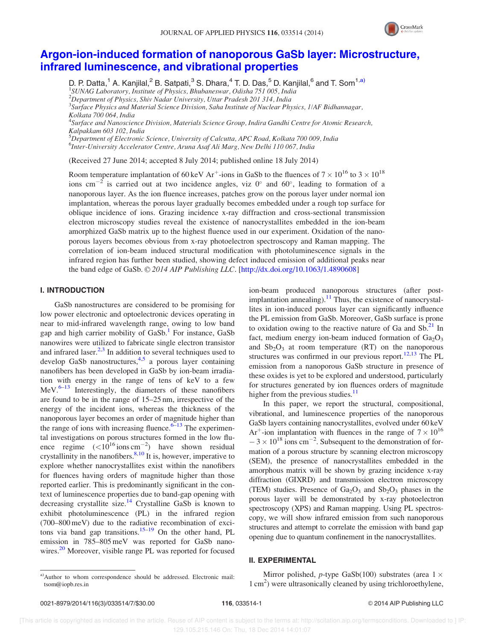

## Argon-ion-induced formation of nanoporous GaSb layer: Microstructure, infrared luminescence, and vibrational properties

D. P. Datta,<sup>1</sup> A. Kanjilal,<sup>2</sup> B. Satpati,<sup>3</sup> S. Dhara,<sup>4</sup> T. D. Das,<sup>5</sup> D. Kanjilal,<sup>6</sup> and T. Som<sup>1,a)</sup> <sup>1</sup>SUNAG Laboratory, Institute of Physics, Bhubaneswar, Odisha 751 005, India  $^{2}$ Department of Physics, Shiv Nadar University, Uttar Pradesh 201 314, India <sup>3</sup>Surface Physics and Material Science Division, Saha Institute of Nuclear Physics, 1/AF Bidhannagar, Kolkata 700 064, India <sup>4</sup>Surface and Nanoscience Division, Materials Science Group, Indira Gandhi Centre for Atomic Research, Kalpakkam 603 102, India  $^5$ Department of Electronic Science, University of Calcutta, APC Road, Kolkata 700 009, India <sup>6</sup>Inter-University Accelerator Centre, Aruna Asaf Ali Marg, New Delhi 110 067, India

(Received 27 June 2014; accepted 8 July 2014; published online 18 July 2014)

Room temperature implantation of 60 keV Ar<sup>+</sup>-ions in GaSb to the fluences of  $7 \times 10^{16}$  to  $3 \times 10^{18}$ ions cm<sup>-2</sup> is carried out at two incidence angles, viz 0° and 60°, leading to formation of a nanoporous layer. As the ion fluence increases, patches grow on the porous layer under normal ion implantation, whereas the porous layer gradually becomes embedded under a rough top surface for oblique incidence of ions. Grazing incidence x-ray diffraction and cross-sectional transmission electron microscopy studies reveal the existence of nanocrystallites embedded in the ion-beam amorphized GaSb matrix up to the highest fluence used in our experiment. Oxidation of the nanoporous layers becomes obvious from x-ray photoelectron spectroscopy and Raman mapping. The correlation of ion-beam induced structural modification with photoluminescence signals in the infrared region has further been studied, showing defect induced emission of additional peaks near the band edge of GaSb.  $\odot$  2014 AIP Publishing LLC. [http://dx.doi.org/10.1063/1.4890608]

### I. INTRODUCTION

GaSb nanostructures are considered to be promising for low power electronic and optoelectronic devices operating in near to mid-infrared wavelength range, owing to low band gap and high carrier mobility of GaSb.<sup>1</sup> For instance, GaSb nanowires were utilized to fabricate single electron transistor and infrared laser. $2,3$  In addition to several techniques used to develop GaSb nanostructures,<sup>4,5</sup> a porous layer containing nanofibers has been developed in GaSb by ion-beam irradiation with energy in the range of tens of keV to a few  $MeV.<sup>6–13</sup>$  Interestingly, the diameters of these nanofibers are found to be in the range of 15–25 nm, irrespective of the energy of the incident ions, whereas the thickness of the nanoporous layer becomes an order of magnitude higher than the range of ions with increasing fluence. $6-13$  The experimental investigations on porous structures formed in the low fluence regime  $(<10^{16}$  ions cm<sup>-2</sup>) have shown residual crystallinity in the nanofibers. $8,10$  It is, however, imperative to explore whether nanocrystallites exist within the nanofibers for fluences having orders of magnitude higher than those reported earlier. This is predominantly significant in the context of luminescence properties due to band-gap opening with decreasing crystallite size.<sup>14</sup> Crystalline GaSb is known to exhibit photoluminescence (PL) in the infrared region (700–800 meV) due to the radiative recombination of excitons via band gap transitions.<sup>15–19</sup> On the other hand, PL emission in 785–805 meV was reported for GaSb nanowires.<sup>20</sup> Moreover, visible range PL was reported for focused

In this paper, we report the structural, compositional, vibrational, and luminescence properties of the nanoporous GaSb layers containing nanocrystallites, evolved under 60 keV Ar<sup>+</sup>-ion implantation with fluences in the range of  $7 \times 10^{16}$  $-3 \times 10^{18}$  ions cm<sup>-2</sup>. Subsequent to the demonstration of formation of a porous structure by scanning electron microscopy (SEM), the presence of nanocrystallites embedded in the amorphous matrix will be shown by grazing incidence x-ray diffraction (GIXRD) and transmission electron microscopy (TEM) studies. Presence of  $Ga<sub>2</sub>O<sub>3</sub>$  and  $Sb<sub>2</sub>O<sub>3</sub>$  phases in the porous layer will be demonstrated by x-ray photoelectron spectroscopy (XPS) and Raman mapping. Using PL spectroscopy, we will show infrared emission from such nanoporous structures and attempt to correlate the emission with band gap opening due to quantum confinement in the nanocrystallites.

#### II. EXPERIMENTAL

Mirror polished, *p*-type GaSb(100) substrates (area  $1 \times$ 1 cm<sup>2</sup> ) were ultrasonically cleaned by using trichloroethylene,

ion-beam produced nanoporous structures (after postimplantation annealing). $<sup>11</sup>$  Thus, the existence of nanocrystal-</sup> lites in ion-induced porous layer can significantly influence the PL emission from GaSb. Moreover, GaSb surface is prone to oxidation owing to the reactive nature of Ga and  $\text{Sb}^{21}$  In fact, medium energy ion-beam induced formation of  $Ga<sub>2</sub>O<sub>3</sub>$ and  $Sb_2O_3$  at room temperature (RT) on the nanoporous structures was confirmed in our previous report.<sup>12,13</sup> The PL emission from a nanoporous GaSb structure in presence of these oxides is yet to be explored and understood, particularly for structures generated by ion fluences orders of magnitude higher from the previous studies. $\frac{11}{11}$ 

a)Author to whom correspondence should be addressed. Electronic mail: tsom@iopb.res.in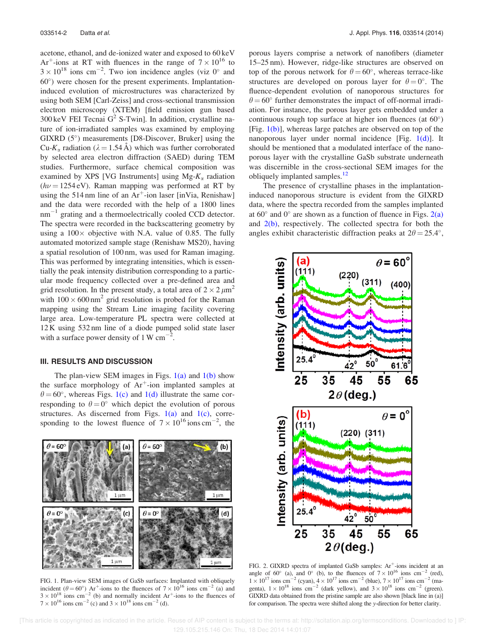acetone, ethanol, and de-ionized water and exposed to 60 keV Ar<sup>+</sup>-ions at RT with fluences in the range of  $7 \times 10^{16}$  to  $3 \times 10^{18}$  ions cm<sup>-2</sup>. Two ion incidence angles (viz 0° and 60 ) were chosen for the present experiments. Implantationinduced evolution of microstructures was characterized by using both SEM [Carl-Zeiss] and cross-sectional transmission electron microscopy (XTEM) [field emission gun based 300 keV FEI Tecnai  $G^2$  S-Twin]. In addition, crystalline nature of ion-irradiated samples was examined by employing GIXRD (5 ) measurements [D8-Discover, Bruker] using the Cu- $K_{\alpha}$  radiation ( $\lambda = 1.54$  Å) which was further corroborated by selected area electron diffraction (SAED) during TEM studies. Furthermore, surface chemical composition was examined by XPS [VG Instruments] using  $Mg$ - $K_{\alpha}$  radiation  $(h\nu = 1254 \text{ eV})$ . Raman mapping was performed at RT by using the 514 nm line of an  $Ar^+$ -ion laser [inVia, Renishaw] and the data were recorded with the help of a 1800 lines  $nm^{-1}$  grating and a thermoelectrically cooled CCD detector. The spectra were recorded in the backscattering geometry by using a  $100 \times$  objective with N.A. value of 0.85. The fully automated motorized sample stage (Renishaw MS20), having a spatial resolution of 100 nm, was used for Raman imaging. This was performed by integrating intensities, which is essentially the peak intensity distribution corresponding to a particular mode frequency collected over a pre-defined area and grid resolution. In the present study, a total area of  $2 \times 2 \mu m^2$ with  $100 \times 600$  nm<sup>2</sup> grid resolution is probed for the Raman mapping using the Stream Line imaging facility covering large area. Low-temperature PL spectra were collected at 12 K using 532 nm line of a diode pumped solid state laser with a surface power density of 1 W  $\text{cm}^{-2}$ .

#### III. RESULTS AND DISCUSSION

The plan-view SEM images in Figs.  $1(a)$  and  $1(b)$  show the surface morphology of  $Ar^+$ -ion implanted samples at  $\theta = 60^{\circ}$ , whereas Figs. 1(c) and 1(d) illustrate the same corresponding to  $\theta = 0^{\circ}$  which depict the evolution of porous structures. As discerned from Figs.  $1(a)$  and  $1(c)$ , corresponding to the lowest fluence of  $7 \times 10^{16}$  ions cm<sup>-2</sup>, the



FIG. 1. Plan-view SEM images of GaSb surfaces: Implanted with obliquely incident ( $\theta = 60^{\circ}$ ) Ar<sup>+</sup>-ions to the fluences of  $7 \times 10^{16}$  ions cm<sup>-2</sup> (a) and  $3 \times 10^{18}$  ions cm<sup>-2</sup> (b) and normally incident Ar<sup>+</sup>-ions to the fluences of  $7 \times 10^{16}$  ions cm<sup>-2</sup> (c) and  $3 \times 10^{18}$  ions cm<sup>-2</sup> (d).

porous layers comprise a network of nanofibers (diameter 15–25 nm). However, ridge-like structures are observed on top of the porous network for  $\theta = 60^{\circ}$ , whereas terrace-like structures are developed on porous layer for  $\theta = 0^{\circ}$ . The fluence-dependent evolution of nanoporous structures for  $\theta = 60^{\circ}$  further demonstrates the impact of off-normal irradiation. For instance, the porous layer gets embedded under a continuous rough top surface at higher ion fluences (at 60°) [Fig.  $1(b)$ ], whereas large patches are observed on top of the nanoporous layer under normal incidence [Fig.  $1(d)$ ]. It should be mentioned that a modulated interface of the nanoporous layer with the crystalline GaSb substrate underneath was discernible in the cross-sectional SEM images for the obliquely implanted samples.<sup>12</sup>

The presence of crystalline phases in the implantationinduced nanoporous structure is evident from the GIXRD data, where the spectra recorded from the samples implanted at  $60^\circ$  and  $0^\circ$  are shown as a function of fluence in Figs.  $2(a)$ and  $2(b)$ , respectively. The collected spectra for both the angles exhibit characteristic diffraction peaks at  $2\theta = 25.4^{\circ}$ ,



FIG. 2. GIXRD spectra of implanted GaSb samples: Ar<sup>+</sup>-ions incident at an angle of 60° (a), and 0° (b), to the fluences of  $7 \times 10^{16}$  ions cm<sup>-2</sup> (red),  $1 \times 10^{17}$  ions cm<sup>-2</sup> (cyan),  $4 \times 10^{17}$  ions cm<sup>-2</sup> (blue),  $7 \times 10^{17}$  ions cm<sup>-2</sup> (magenta),  $1 \times 10^{18}$  ions cm<sup>-2</sup> (dark yellow), and  $3 \times 10^{18}$  ions cm<sup>-2</sup> (green). GIXRD data obtained from the pristine sample are also shown [black line in (a)] for comparison. The spectra were shifted along the y-direction for better clarity.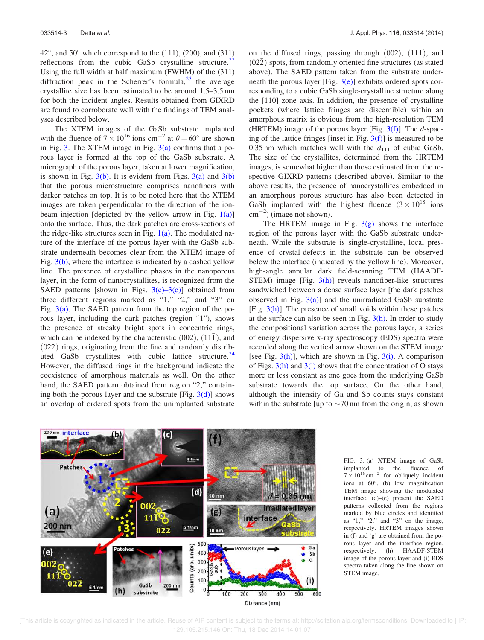$42^{\circ}$ , and  $50^{\circ}$  which correspond to the (111), (200), and (311) reflections from the cubic GaSb crystalline structure.<sup>22</sup> Using the full width at half maximum (FWHM) of the (311) diffraction peak in the Scherrer's formula, $^{23}$  the average crystallite size has been estimated to be around 1.5–3.5 nm for both the incident angles. Results obtained from GIXRD are found to corroborate well with the findings of TEM analyses described below.

The XTEM images of the GaSb substrate implanted with the fluence of  $7 \times 10^{16}$  ions cm<sup>-2</sup> at  $\theta = 60^{\circ}$  are shown in Fig. 3. The XTEM image in Fig.  $3(a)$  confirms that a porous layer is formed at the top of the GaSb substrate. A micrograph of the porous layer, taken at lower magnification, is shown in Fig.  $3(b)$ . It is evident from Figs.  $3(a)$  and  $3(b)$ that the porous microstructure comprises nanofibers with darker patches on top. It is to be noted here that the XTEM images are taken perpendicular to the direction of the ionbeam injection [depicted by the yellow arrow in Fig.  $1(a)$ ] onto the surface. Thus, the dark patches are cross-sections of the ridge-like structures seen in Fig.  $1(a)$ . The modulated nature of the interface of the porous layer with the GaSb substrate underneath becomes clear from the XTEM image of Fig.  $3(b)$ , where the interface is indicated by a dashed yellow line. The presence of crystalline phases in the nanoporous layer, in the form of nanocrystallites, is recognized from the SAED patterns [shown in Figs.  $3(c)$ – $3(e)$ ] obtained from three different regions marked as "1," "2," and "3" on Fig.  $3(a)$ . The SAED pattern from the top region of the porous layer, including the dark patches (region "1"), shows the presence of streaky bright spots in concentric rings, which can be indexed by the characteristic  $(002)$ ,  $(11\bar{1})$ , and  $(02\overline{2})$  rings, originating from the fine and randomly distributed GaSb crystallites with cubic lattice structure. $24$ However, the diffused rings in the background indicate the coexistence of amorphous materials as well. On the other hand, the SAED pattern obtained from region "2," containing both the porous layer and the substrate [Fig.  $3(d)$ ] shows an overlap of ordered spots from the unimplanted substrate

on the diffused rings, passing through  $(002)$ ,  $(11\bar{1})$ , and  $(02\overline{2})$  spots, from randomly oriented fine structures (as stated above). The SAED pattern taken from the substrate underneath the porous layer [Fig.  $3(e)$ ] exhibits ordered spots corresponding to a cubic GaSb single-crystalline structure along the [110] zone axis. In addition, the presence of crystalline pockets (where lattice fringes are discernible) within an amorphous matrix is obvious from the high-resolution TEM (HRTEM) image of the porous layer [Fig.  $3(f)$ ]. The d-spacing of the lattice fringes [inset in Fig.  $3(f)$ ] is measured to be 0.35 nm which matches well with the  $d_{111}$  of cubic GaSb. The size of the crystallites, determined from the HRTEM images, is somewhat higher than those estimated from the respective GIXRD patterns (described above). Similar to the above results, the presence of nanocrystallites embedded in an amorphous porous structure has also been detected in GaSb implanted with the highest fluence  $(3 \times 10^{18}$  ions  $\text{cm}^{-2}$ ) (image not shown).

The HRTEM image in Fig.  $3(g)$  shows the interface region of the porous layer with the GaSb substrate underneath. While the substrate is single-crystalline, local presence of crystal-defects in the substrate can be observed below the interface (indicated by the yellow line). Moreover, high-angle annular dark field-scanning TEM (HAADF-STEM) image [Fig.  $3(h)$ ] reveals nanofiber-like structures sandwiched between a dense surface layer [the dark patches observed in Fig.  $3(a)$ ] and the unirradiated GaSb substrate [Fig.  $3(h)$ ]. The presence of small voids within these patches at the surface can also be seen in Fig.  $3(h)$ . In order to study the compositional variation across the porous layer, a series of energy dispersive x-ray spectroscopy (EDS) spectra were recorded along the vertical arrow shown on the STEM image [see Fig.  $3(h)$ ], which are shown in Fig.  $3(i)$ . A comparison of Figs.  $3(h)$  and  $3(i)$  shows that the concentration of O stays more or less constant as one goes from the underlying GaSb substrate towards the top surface. On the other hand, although the intensity of Ga and Sb counts stays constant within the substrate [up to  $\sim$  70 nm from the origin, as shown



FIG. 3. (a) XTEM image of GaSb implanted to the fluence of  $7 \times 10^{16}$  cm<sup>-2</sup> for obliquely incident ions at 60 , (b) low magnification TEM image showing the modulated interface. (c)–(e) present the SAED patterns collected from the regions marked by blue circles and identified as " $1$ ," " $2$ ," and " $3$ " on the image, respectively. HRTEM images shown in (f) and (g) are obtained from the porous layer and the interface region, respectively. (h) HAADF-STEM image of the porous layer and (i) EDS spectra taken along the line shown on STEM image.

 <sup>[</sup>This article is copyrighted as indicated in the article. Reuse of AIP content is subject to the terms at: http://scitation.aip.org/termsconditions. Downloaded to ] IP: 129.105.215.146 On: Thu, 18 Dec 2014 14:01:07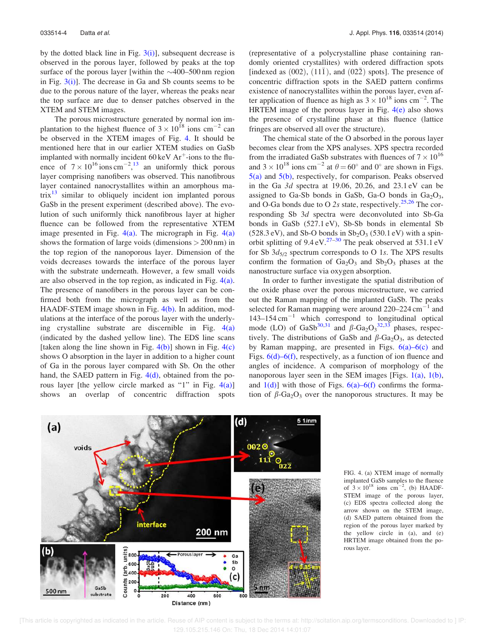by the dotted black line in Fig.  $3(i)$ ], subsequent decrease is observed in the porous layer, followed by peaks at the top surface of the porous layer [within the  $\sim$ 400–500 nm region in Fig.  $3(i)$ ]. The decrease in Ga and Sb counts seems to be due to the porous nature of the layer, whereas the peaks near the top surface are due to denser patches observed in the XTEM and STEM images.

The porous microstructure generated by normal ion implantation to the highest fluence of  $3 \times 10^{18}$  ions cm<sup>-2</sup> can be observed in the XTEM images of Fig. 4. It should be mentioned here that in our earlier XTEM studies on GaSb implanted with normally incident  $60 \text{ keV Ar}^+$ -ions to the fluence of  $7 \times 10^{16}$  ions cm<sup>-2</sup>,<sup>13</sup> an uniformly thick porous layer comprising nanofibers was observed. This nanofibrous layer contained nanocrystallites within an amorphous matrix $\frac{13}{13}$  similar to obliquely incident ion implanted porous GaSb in the present experiment (described above). The evolution of such uniformly thick nanofibrous layer at higher fluence can be followed from the representative XTEM image presented in Fig.  $4(a)$ . The micrograph in Fig.  $4(a)$ shows the formation of large voids (dimensions  $> 200 \text{ nm}$ ) in the top region of the nanoporous layer. Dimension of the voids decreases towards the interface of the porous layer with the substrate underneath. However, a few small voids are also observed in the top region, as indicated in Fig. 4(a). The presence of nanofibers in the porous layer can be confirmed both from the micrograph as well as from the HAADF-STEM image shown in Fig. 4(b). In addition, modulations at the interface of the porous layer with the underlying crystalline substrate are discernible in Fig.  $4(a)$ (indicated by the dashed yellow line). The EDS line scans [taken along the line shown in Fig.  $4(b)$ ] shown in Fig.  $4(c)$ shows O absorption in the layer in addition to a higher count of Ga in the porous layer compared with Sb. On the other hand, the SAED pattern in Fig. 4(d), obtained from the porous layer [the yellow circle marked as "1" in Fig. 4(a)] shows an overlap of concentric diffraction spots (representative of a polycrystalline phase containing randomly oriented crystallites) with ordered diffraction spots  $\frac{1}{2}$  indexed as (002), (11 $\overline{1}$ ), and (02 $\overline{2}$ ) spots]. The presence of concentric diffraction spots in the SAED pattern confirms existence of nanocrystallites within the porous layer, even after application of fluence as high as  $3 \times 10^{18}$  ions cm<sup>-2</sup>. The HRTEM image of the porous layer in Fig.  $4(e)$  also shows the presence of crystalline phase at this fluence (lattice fringes are observed all over the structure).

The chemical state of the O absorbed in the porous layer becomes clear from the XPS analyses. XPS spectra recorded from the irradiated GaSb substrates with fluences of  $7 \times 10^{16}$ and  $3 \times 10^{18}$  ions cm<sup>-2</sup> at  $\theta = 60^{\circ}$  and 0° are shown in Figs. 5(a) and 5(b), respectively, for comparison. Peaks observed in the Ga  $3d$  spectra at 19.06, 20.26, and 23.1 eV can be assigned to Ga-Sb bonds in GaSb, Ga-O bonds in  $Ga<sub>2</sub>O<sub>3</sub>$ , and O-Ga bonds due to O 2s state, respectively.<sup>25,26</sup> The corresponding Sb 3d spectra were deconvoluted into Sb-Ga bonds in GaSb (527.1 eV), Sb-Sb bonds in elemental Sb  $(528.3 \text{ eV})$ , and Sb-O bonds in  $\text{Sb}_2\text{O}_3$  (530.1 eV) with a spinorbit splitting of  $9.4 \text{ eV}^{27-30}$  The peak observed at  $531.1 \text{ eV}$ for Sb  $3d_{5/2}$  spectrum corresponds to O 1s. The XPS results confirm the formation of  $Ga<sub>2</sub>O<sub>3</sub>$  and  $Sb<sub>2</sub>O<sub>3</sub>$  phases at the nanostructure surface via oxygen absorption.

In order to further investigate the spatial distribution of the oxide phase over the porous microstructure, we carried out the Raman mapping of the implanted GaSb. The peaks selected for Raman mapping were around  $220-224$  cm<sup>-1</sup> and  $143-154$  cm<sup>-1</sup> which correspond to longitudinal optical mode (LO) of GaSb<sup>30,31</sup> and  $\beta$ -Ga<sub>2</sub>O<sub>3</sub><sup>32,33</sup> phases, respectively. The distributions of GaSb and  $\beta$ -Ga<sub>2</sub>O<sub>3</sub>, as detected by Raman mapping, are presented in Figs.  $6(a) - 6(c)$  and Figs. 6(d)–6(f), respectively, as a function of ion fluence and angles of incidence. A comparison of morphology of the nanoporous layer seen in the SEM images [Figs. 1(a), 1(b), and  $1(d)$ ] with those of Figs.  $6(a)$ – $6(f)$  confirms the formation of  $\beta$ -Ga<sub>2</sub>O<sub>3</sub> over the nanoporous structures. It may be



FIG. 4. (a) XTEM image of normally implanted GaSb samples to the fluence of  $3 \times 10^{18}$  ions cm<sup>-2</sup>, (b) HAADF-STEM image of the porous layer, (c) EDS spectra collected along the arrow shown on the STEM image, (d) SAED pattern obtained from the region of the porous layer marked by the yellow circle in (a), and (e) HRTEM image obtained from the porous layer.

 [This article is copyrighted as indicated in the article. Reuse of AIP content is subject to the terms at: http://scitation.aip.org/termsconditions. Downloaded to ] IP: 129.105.215.146 On: Thu, 18 Dec 2014 14:01:07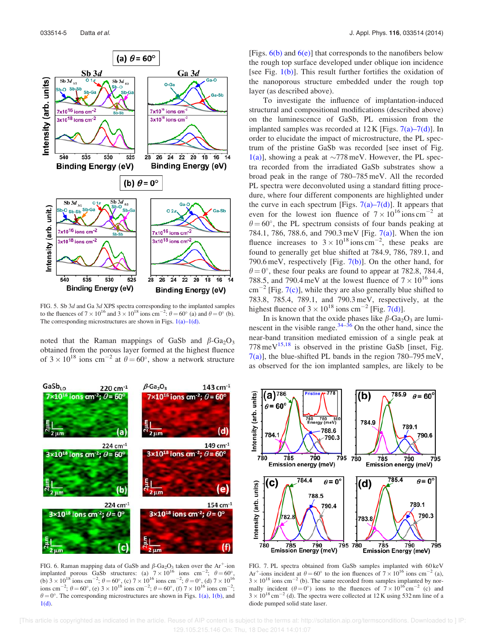

FIG. 5. Sb 3d and Ga 3d XPS spectra corresponding to the implanted samples to the fluences of  $7 \times 10^{16}$  and  $3 \times 10^{18}$  ions cm<sup>-2</sup>:  $\theta = 60^{\circ}$  (a) and  $\theta = 0^{\circ}$  (b). The corresponding microstructures are shown in Figs.  $1(a)$ – $1(d)$ .

noted that the Raman mappings of GaSb and  $\beta$ -Ga<sub>2</sub>O<sub>3</sub> obtained from the porous layer formed at the highest fluence of  $3 \times 10^{18}$  ions cm<sup>-2</sup> at  $\theta = 60^{\circ}$ , show a network structure



FIG. 6. Raman mapping data of GaSb and  $\beta$ -Ga<sub>2</sub>O<sub>3</sub> taken over the Ar<sup>+</sup>-ion implanted porous GaSb structures: (a)  $7 \times 10^{16}$  ions cm<sup>-2</sup>;  $\theta = 60^{\circ}$ , (b)  $3 \times 10^{18}$  ions cm<sup>-2</sup>;  $\theta = 60^{\circ}$ , (c)  $7 \times 10^{16}$  ions cm<sup>-2</sup>;  $\theta = 0^{\circ}$ , (d)  $7 \times 10^{16}$ ions cm<sup>-2</sup>;  $\theta = 60^{\circ}$ , (e)  $3 \times 10^{18}$  ions cm<sup>-2</sup>;  $\theta = 60^{\circ}$ , (f)  $7 \times 10^{16}$  ions cm<sup>-2</sup>;  $\theta = 0^{\circ}$ . The corresponding microstructures are shown in Figs. 1(a), 1(b), and 1(d).

[Figs.  $6(b)$  and  $6(e)$ ] that corresponds to the nanofibers below the rough top surface developed under oblique ion incidence [see Fig.  $1(b)$ ]. This result further fortifies the oxidation of the nanoporous structure embedded under the rough top layer (as described above).

To investigate the influence of implantation-induced structural and compositional modifications (described above) on the luminescence of GaSb, PL emission from the implanted samples was recorded at  $12 \text{ K}$  [Figs. 7(a)–7(d)]. In order to elucidate the impact of microstructure, the PL spectrum of the pristine GaSb was recorded [see inset of Fig. 1(a)], showing a peak at  $\sim$ 778 meV. However, the PL spectra recorded from the irradiated GaSb substrates show a broad peak in the range of 780–785 meV. All the recorded PL spectra were deconvoluted using a standard fitting procedure, where four different components are highlighted under the curve in each spectrum [Figs.  $7(a)$ – $7(d)$ ]. It appears that even for the lowest ion fluence of  $7 \times 10^{16}$  ions cm<sup>-2</sup> at  $\theta = 60^{\circ}$ , the PL spectrum consists of four bands peaking at 784.1, 786, 788.6, and 790.3 meV [Fig. 7(a)]. When the ion fluence increases to  $3 \times 10^{18}$  ions cm<sup>-2</sup>, these peaks are found to generally get blue shifted at 784.9, 786, 789.1, and 790.6 meV, respectively [Fig. 7(b)]. On the other hand, for  $\theta = 0^{\degree}$ , these four peaks are found to appear at 782.8, 784.4, 788.5, and 790.4 meV at the lowest fluence of  $7 \times 10^{16}$  ions  $\text{cm}^{-2}$  [Fig. 7(c)], while they are also generally blue shifted to 783.8, 785.4, 789.1, and 790.3 meV, respectively, at the highest fluence of  $3 \times 10^{18}$  ions cm<sup>-2</sup> [Fig. 7(d)].

In is known that the oxide phases like  $\beta$ -Ga<sub>2</sub>O<sub>3</sub> are luminescent in the visible range. $34-36$  On the other hand, since the near-band transition mediated emission of a single peak at  $778 \text{ meV}^{15,18}$  is observed in the pristine GaSb [inset, Fig.  $7(a)$ ], the blue-shifted PL bands in the region  $780-795$  meV, as observed for the ion implanted samples, are likely to be



FIG. 7. PL spectra obtained from GaSb samples implanted with 60 keV Ar<sup>+</sup>-ions incident at  $\theta = 60^{\circ}$  to the ion fluences of  $7 \times 10^{16}$  ions cm<sup>-2</sup> (a),  $3 \times 10^{18}$  ions cm<sup>-2</sup> (b). The same recorded from samples implanted by normally incident  $(\theta = 0^{\circ})$  ions to the fluences of  $7 \times 10^{16}$  cm<sup>-2</sup> (c) and  $3 \times 10^{18}$  cm<sup>-2</sup> (d). The spectra were collected at 12 K using 532 nm line of a diode pumped solid state laser.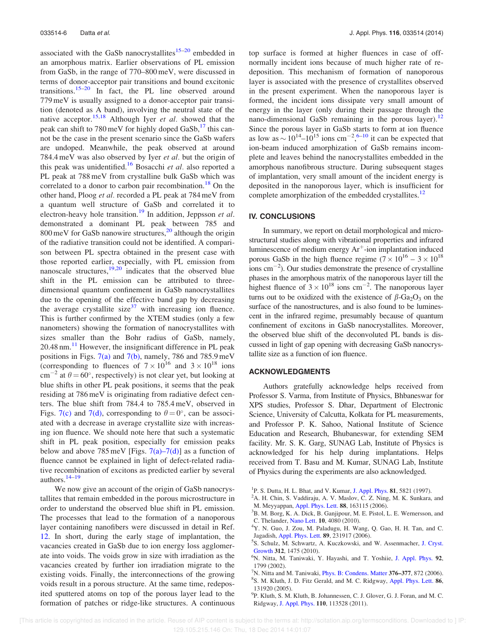associated with the GaSb nanocrystallites $15-20$  embedded in an amorphous matrix. Earlier observations of PL emission from GaSb, in the range of 770–800 meV, were discussed in terms of donor-acceptor pair transitions and bound excitonic transitions.15–20 In fact, the PL line observed around 779 meV is usually assigned to a donor-acceptor pair transition (denoted as A band), involving the neutral state of the native acceptor.<sup>15,18</sup> Although Iyer *et al.* showed that the peak can shift to 780 meV for highly doped  $GaSb$ ,<sup>17</sup> this cannot be the case in the present scenario since the GaSb wafers are undoped. Meanwhile, the peak observed at around 784.4 meV was also observed by Iyer et al. but the origin of this peak was unidentified.<sup>16</sup> Bosacchi et al. also reported a PL peak at 788 meV from crystalline bulk GaSb which was correlated to a donor to carbon pair recombination.<sup>18</sup> On the other hand, Ploog et al. recorded a PL peak at 784 meV from a quantum well structure of GaSb and correlated it to electron-heavy hole transition.<sup>19</sup> In addition, Jeppsson et al. demonstrated a dominant PL peak between 785 and 800 meV for GaSb nanowire structures, $\frac{20}{20}$  although the origin of the radiative transition could not be identified. A comparison between PL spectra obtained in the present case with those reported earlier, especially, with PL emission from nanoscale structures, $19,20$  indicates that the observed blue shift in the PL emission can be attributed to threedimensional quantum confinement in GaSb nanocrystallites due to the opening of the effective band gap by decreasing the average crystallite size<sup>37</sup> with increasing ion fluence. This is further confirmed by the XTEM studies (only a few nanometers) showing the formation of nanocrystallites with sizes smaller than the Bohr radius of GaSb, namely,  $20.48$  nm. $^{11}$  However, the insignificant difference in PL peak positions in Figs. 7(a) and 7(b), namely, 786 and 785.9 meV (corresponding to fluences of  $7 \times 10^{16}$  and  $3 \times 10^{18}$  ions cm<sup>-2</sup> at  $\theta = 60^{\circ}$ , respectively) is not clear yet, but looking at blue shifts in other PL peak positions, it seems that the peak residing at 786 meV is originating from radiative defect centers. The blue shift from 784.4 to 785.4 meV, observed in Figs. 7(c) and 7(d), corresponding to  $\theta = 0^{\circ}$ , can be associated with a decrease in average crystallite size with increasing ion fluence. We should note here that such a systematic shift in PL peak position, especially for emission peaks below and above 785 meV [Figs.  $7(a)$ – $7(d)$ ] as a function of fluence cannot be explained in light of defect-related radiative recombination of excitons as predicted earlier by several authors.14–19

We now give an account of the origin of GaSb nanocrystallites that remain embedded in the porous microstructure in order to understand the observed blue shift in PL emission. The processes that lead to the formation of a nanoporous layer containing nanofibers were discussed in detail in Ref. 12. In short, during the early stage of implantation, the vacancies created in GaSb due to ion energy loss agglomerate into voids. The voids grow in size with irradiation as the vacancies created by further ion irradiation migrate to the existing voids. Finally, the interconnections of the growing voids result in a porous structure. At the same time, redeposited sputtered atoms on top of the porous layer lead to the formation of patches or ridge-like structures. A continuous top surface is formed at higher fluences in case of offnormally incident ions because of much higher rate of redeposition. This mechanism of formation of nanoporous layer is associated with the presence of crystallites observed in the present experiment. When the nanoporous layer is formed, the incident ions dissipate very small amount of energy in the layer (only during their passage through the nano-dimensional GaSb remaining in the porous layer).<sup>12</sup> Since the porous layer in GaSb starts to form at ion fluence as low as  $\sim 10^{14}$ – $10^{15}$  ions cm<sup>-2</sup>,<sup>6–10</sup> it can be expected that ion-beam induced amorphization of GaSb remains incomplete and leaves behind the nanocrystallites embedded in the amorphous nanofibrous structure. During subsequent stages of implantation, very small amount of the incident energy is deposited in the nanoporous layer, which is insufficient for complete amorphization of the embedded crystallites.<sup>12</sup>

#### IV. CONCLUSIONS

In summary, we report on detail morphological and microstructural studies along with vibrational properties and infrared luminescence of medium energy  $Ar^+$ -ion implantation induced porous GaSb in the high fluence regime  $(7 \times 10^{16} - 3 \times 10^{18})$  $\frac{1}{2}$ . Our studies demonstrate the presence of crystalline phases in the amorphous matrix of the nanoporous layer till the highest fluence of  $3 \times 10^{18}$  ions cm<sup>-2</sup>. The nanoporous layer turns out to be oxidized with the existence of  $\beta$ -Ga<sub>2</sub>O<sub>3</sub> on the surface of the nanostructures, and is also found to be luminescent in the infrared regime, presumably because of quantum confinement of excitons in GaSb nanocrystallites. Moreover, the observed blue shift of the deconvoluted PL bands is discussed in light of gap opening with decreasing GaSb nanocrystallite size as a function of ion fluence.

#### ACKNOWLEDGMENTS

Authors gratefully acknowledge helps received from Professor S. Varma, from Institute of Physics, Bhbaneswar for XPS studies, Professor S. Dhar, Department of Electronic Science, University of Calcutta, Kolkata for PL measurements, and Professor P. K. Sahoo, National Institute of Science Education and Research, Bhubaneswar, for extending SEM facility. Mr. S. K. Garg, SUNAG Lab, Institute of Physics is acknowledged for his help during implantations. Helps received from T. Basu and M. Kumar, SUNAG Lab, Institute of Physics during the experiments are also acknowledged.

<sup>1</sup>P. S. Dutta, H. L. Bhat, and V. Kumar, J. Appl. Phys. **81**, 5821 (1997).

- <sup>2</sup>A. H. Chin, S. Vaddiraju, A. V. Maslov, C. Z. Ning, M. K. Sunkara, and M. Meyyappan, Appl. Phys. Lett. 88, 163115 (2006).
- <sup>3</sup>B. M. Borg, K. A. Dick, B. Ganjipour, M. E. Pistol, L. E. Wernersson, and C. Thelander, Nano Lett. 10, 4080 (2010).

9 P. Kluth, S. M. Kluth, B. Johannessen, C. J. Glover, G. J. Foran, and M. C. Ridgway, J. Appl. Phys. 110, 113528 (2011).

<sup>&</sup>lt;sup>4</sup>Y. N. Guo, J. Zou, M. Paladugu, H. Wang, Q. Gao, H. H. Tan, and C. Jagadish, Appl. Phys. Lett. 89, 231917 (2006).

<sup>5</sup> S. Schulz, M. Schwartz, A. Kuczkowski, and W. Assenmacher, J. Cryst. Growth 312, 1475 (2010).

<sup>&</sup>lt;sup>6</sup>N. Nitta, M. Taniwaki, Y. Hayashi, and T. Yoshiie, J. Appl. Phys. 92, 1799 (2002).

<sup>&</sup>lt;sup>7</sup>N. Nitta and M. Taniwaki, *Phys. B: Condens. Matter* 376–377, 872 (2006).

<sup>&</sup>lt;sup>8</sup>S. M. Kluth, J. D. Fitz Gerald, and M. C. Ridgway, Appl. Phys. Lett. 86, 131920 (2005).